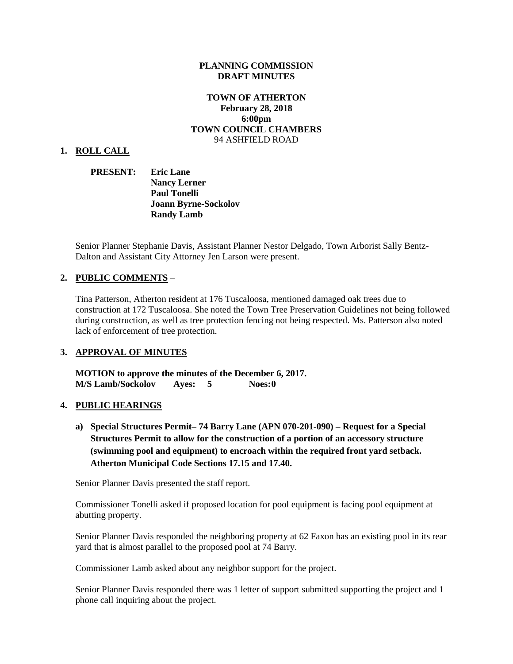#### **PLANNING COMMISSION DRAFT MINUTES**

## **TOWN OF ATHERTON February 28, 2018 6:00pm TOWN COUNCIL CHAMBERS** 94 ASHFIELD ROAD

#### **1. ROLL CALL**

## **PRESENT: Eric Lane Nancy Lerner Paul Tonelli Joann Byrne-Sockolov Randy Lamb**

Senior Planner Stephanie Davis, Assistant Planner Nestor Delgado, Town Arborist Sally Bentz-Dalton and Assistant City Attorney Jen Larson were present.

## **2. PUBLIC COMMENTS** –

Tina Patterson, Atherton resident at 176 Tuscaloosa, mentioned damaged oak trees due to construction at 172 Tuscaloosa. She noted the Town Tree Preservation Guidelines not being followed during construction, as well as tree protection fencing not being respected. Ms. Patterson also noted lack of enforcement of tree protection.

## **3. APPROVAL OF MINUTES**

**MOTION to approve the minutes of the December 6, 2017. M/S Lamb/Sockolov Ayes: 5 Noes:0**

#### **4. PUBLIC HEARINGS**

**a) Special Structures Permit– 74 Barry Lane (APN 070-201-090) – Request for a Special Structures Permit to allow for the construction of a portion of an accessory structure (swimming pool and equipment) to encroach within the required front yard setback. Atherton Municipal Code Sections 17.15 and 17.40.**

Senior Planner Davis presented the staff report.

Commissioner Tonelli asked if proposed location for pool equipment is facing pool equipment at abutting property.

Senior Planner Davis responded the neighboring property at 62 Faxon has an existing pool in its rear yard that is almost parallel to the proposed pool at 74 Barry.

Commissioner Lamb asked about any neighbor support for the project.

Senior Planner Davis responded there was 1 letter of support submitted supporting the project and 1 phone call inquiring about the project.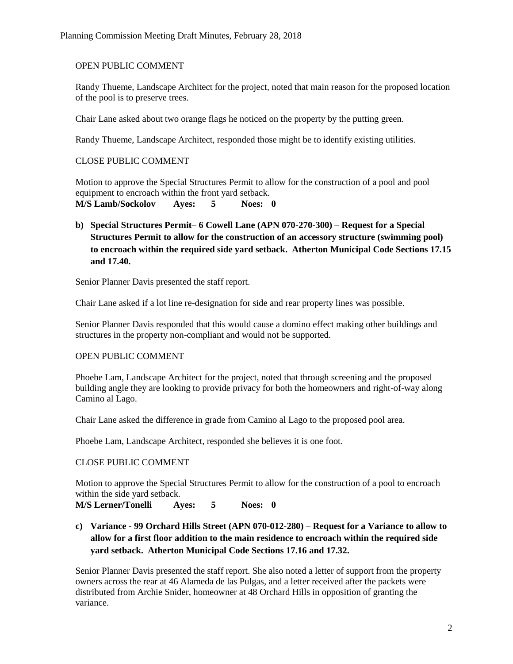## OPEN PUBLIC COMMENT

Randy Thueme, Landscape Architect for the project, noted that main reason for the proposed location of the pool is to preserve trees.

Chair Lane asked about two orange flags he noticed on the property by the putting green.

Randy Thueme, Landscape Architect, responded those might be to identify existing utilities.

## CLOSE PUBLIC COMMENT

Motion to approve the Special Structures Permit to allow for the construction of a pool and pool equipment to encroach within the front yard setback. **M/S Lamb/Sockolov Ayes: 5 Noes: 0**

**b) Special Structures Permit– 6 Cowell Lane (APN 070-270-300) – Request for a Special Structures Permit to allow for the construction of an accessory structure (swimming pool) to encroach within the required side yard setback. Atherton Municipal Code Sections 17.15 and 17.40.**

Senior Planner Davis presented the staff report.

Chair Lane asked if a lot line re-designation for side and rear property lines was possible.

Senior Planner Davis responded that this would cause a domino effect making other buildings and structures in the property non-compliant and would not be supported.

## OPEN PUBLIC COMMENT

Phoebe Lam, Landscape Architect for the project, noted that through screening and the proposed building angle they are looking to provide privacy for both the homeowners and right-of-way along Camino al Lago.

Chair Lane asked the difference in grade from Camino al Lago to the proposed pool area.

Phoebe Lam, Landscape Architect, responded she believes it is one foot.

## CLOSE PUBLIC COMMENT

Motion to approve the Special Structures Permit to allow for the construction of a pool to encroach within the side yard setback.

**M/S Lerner/Tonelli Ayes: 5 Noes: 0**

**c) Variance - 99 Orchard Hills Street (APN 070-012-280) – Request for a Variance to allow to allow for a first floor addition to the main residence to encroach within the required side yard setback. Atherton Municipal Code Sections 17.16 and 17.32.**

Senior Planner Davis presented the staff report. She also noted a letter of support from the property owners across the rear at 46 Alameda de las Pulgas, and a letter received after the packets were distributed from Archie Snider, homeowner at 48 Orchard Hills in opposition of granting the variance.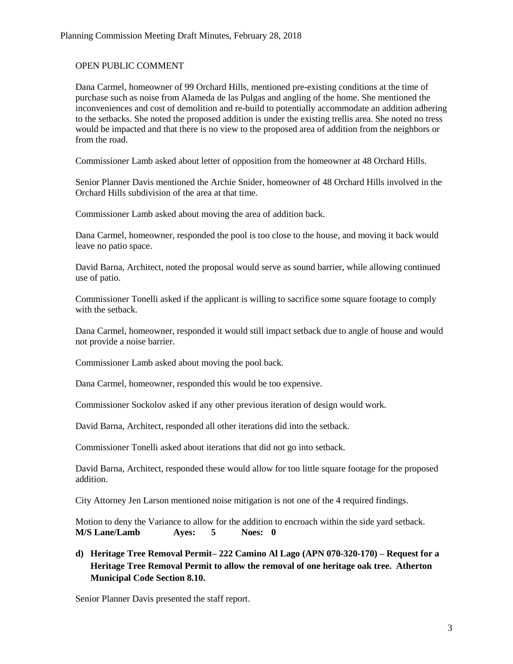## OPEN PUBLIC COMMENT

Dana Carmel, homeowner of 99 Orchard Hills, mentioned pre-existing conditions at the time of purchase such as noise from Alameda de las Pulgas and angling of the home. She mentioned the inconveniences and cost of demolition and re-build to potentially accommodate an addition adhering to the setbacks. She noted the proposed addition is under the existing trellis area. She noted no tress would be impacted and that there is no view to the proposed area of addition from the neighbors or from the road.

Commissioner Lamb asked about letter of opposition from the homeowner at 48 Orchard Hills.

Senior Planner Davis mentioned the Archie Snider, homeowner of 48 Orchard Hills involved in the Orchard Hills subdivision of the area at that time.

Commissioner Lamb asked about moving the area of addition back.

Dana Carmel, homeowner, responded the pool is too close to the house, and moving it back would leave no patio space.

David Barna, Architect, noted the proposal would serve as sound barrier, while allowing continued use of patio.

Commissioner Tonelli asked if the applicant is willing to sacrifice some square footage to comply with the setback.

Dana Carmel, homeowner, responded it would still impact setback due to angle of house and would not provide a noise barrier.

Commissioner Lamb asked about moving the pool back.

Dana Carmel, homeowner, responded this would be too expensive.

Commissioner Sockolov asked if any other previous iteration of design would work.

David Barna, Architect, responded all other iterations did into the setback.

Commissioner Tonelli asked about iterations that did not go into setback.

David Barna, Architect, responded these would allow for too little square footage for the proposed addition.

City Attorney Jen Larson mentioned noise mitigation is not one of the 4 required findings.

Motion to deny the Variance to allow for the addition to encroach within the side yard setback. **M/S Lane/Lamb Ayes: 5 Noes: 0**

**d) Heritage Tree Removal Permit– 222 Camino Al Lago (APN 070-320-170) – Request for a Heritage Tree Removal Permit to allow the removal of one heritage oak tree. Atherton Municipal Code Section 8.10.**

Senior Planner Davis presented the staff report.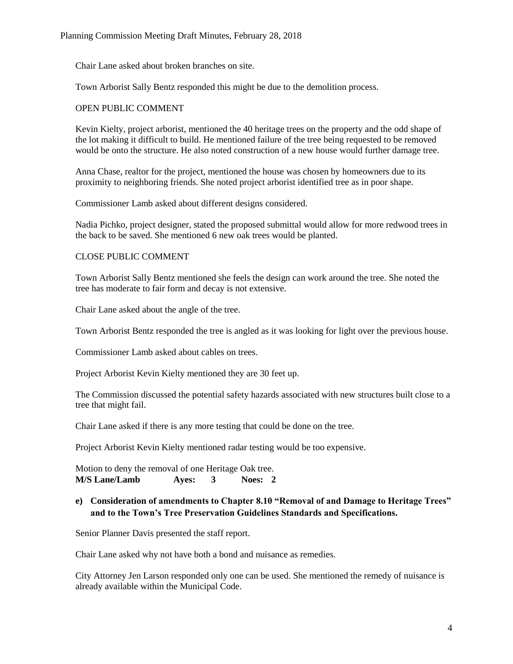Chair Lane asked about broken branches on site.

Town Arborist Sally Bentz responded this might be due to the demolition process.

#### OPEN PUBLIC COMMENT

Kevin Kielty, project arborist, mentioned the 40 heritage trees on the property and the odd shape of the lot making it difficult to build. He mentioned failure of the tree being requested to be removed would be onto the structure. He also noted construction of a new house would further damage tree.

Anna Chase, realtor for the project, mentioned the house was chosen by homeowners due to its proximity to neighboring friends. She noted project arborist identified tree as in poor shape.

Commissioner Lamb asked about different designs considered.

Nadia Pichko, project designer, stated the proposed submittal would allow for more redwood trees in the back to be saved. She mentioned 6 new oak trees would be planted.

## CLOSE PUBLIC COMMENT

Town Arborist Sally Bentz mentioned she feels the design can work around the tree. She noted the tree has moderate to fair form and decay is not extensive.

Chair Lane asked about the angle of the tree.

Town Arborist Bentz responded the tree is angled as it was looking for light over the previous house.

Commissioner Lamb asked about cables on trees.

Project Arborist Kevin Kielty mentioned they are 30 feet up.

The Commission discussed the potential safety hazards associated with new structures built close to a tree that might fail.

Chair Lane asked if there is any more testing that could be done on the tree.

Project Arborist Kevin Kielty mentioned radar testing would be too expensive.

Motion to deny the removal of one Heritage Oak tree. **M/S Lane/Lamb Ayes: 3 Noes: 2**

# **e) Consideration of amendments to Chapter 8.10 "Removal of and Damage to Heritage Trees" and to the Town's Tree Preservation Guidelines Standards and Specifications.**

Senior Planner Davis presented the staff report.

Chair Lane asked why not have both a bond and nuisance as remedies.

City Attorney Jen Larson responded only one can be used. She mentioned the remedy of nuisance is already available within the Municipal Code.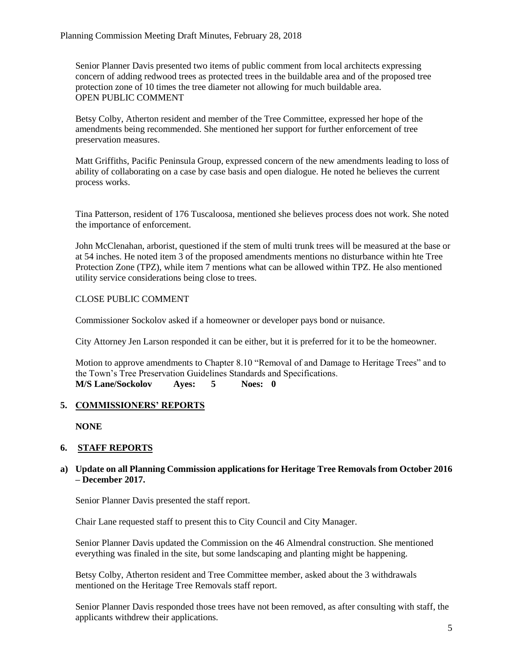Senior Planner Davis presented two items of public comment from local architects expressing concern of adding redwood trees as protected trees in the buildable area and of the proposed tree protection zone of 10 times the tree diameter not allowing for much buildable area. OPEN PUBLIC COMMENT

Betsy Colby, Atherton resident and member of the Tree Committee, expressed her hope of the amendments being recommended. She mentioned her support for further enforcement of tree preservation measures.

Matt Griffiths, Pacific Peninsula Group, expressed concern of the new amendments leading to loss of ability of collaborating on a case by case basis and open dialogue. He noted he believes the current process works.

Tina Patterson, resident of 176 Tuscaloosa, mentioned she believes process does not work. She noted the importance of enforcement.

John McClenahan, arborist, questioned if the stem of multi trunk trees will be measured at the base or at 54 inches. He noted item 3 of the proposed amendments mentions no disturbance within hte Tree Protection Zone (TPZ), while item 7 mentions what can be allowed within TPZ. He also mentioned utility service considerations being close to trees.

# CLOSE PUBLIC COMMENT

Commissioner Sockolov asked if a homeowner or developer pays bond or nuisance.

City Attorney Jen Larson responded it can be either, but it is preferred for it to be the homeowner.

Motion to approve amendments to Chapter 8.10 "Removal of and Damage to Heritage Trees" and to the Town's Tree Preservation Guidelines Standards and Specifications. **M/S Lane/Sockolov Ayes: 5 Noes: 0**

## **5. COMMISSIONERS' REPORTS**

**NONE**

## **6. STAFF REPORTS**

## **a) Update on all Planning Commission applications for Heritage Tree Removals from October 2016 – December 2017.**

Senior Planner Davis presented the staff report.

Chair Lane requested staff to present this to City Council and City Manager.

Senior Planner Davis updated the Commission on the 46 Almendral construction. She mentioned everything was finaled in the site, but some landscaping and planting might be happening.

Betsy Colby, Atherton resident and Tree Committee member, asked about the 3 withdrawals mentioned on the Heritage Tree Removals staff report.

Senior Planner Davis responded those trees have not been removed, as after consulting with staff, the applicants withdrew their applications.